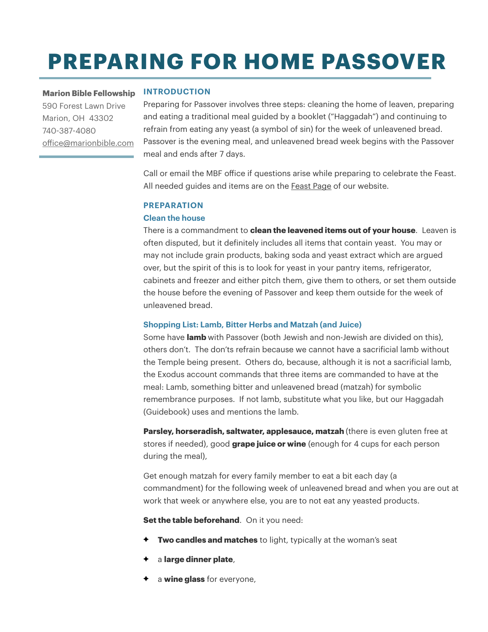# **PREPARING FOR HOME PASSOVER**

**Marion Bible Fellowship**  590 Forest Lawn Drive Marion, OH 43302 740-387-4080 of[ice@marionbible.com](mailto:office@marionbible.com)

## **INTRODUCTION**

Preparing for Passover involves three steps: cleaning the home of leaven, preparing and eating a traditional meal guided by a booklet ("Haggadah") and continuing to refrain from eating any yeast (a symbol of sin) for the week of unleavened bread. Passover is the evening meal, and unleavened bread week begins with the Passover meal and ends after 7 days.

Call or email the MBF ofice if questions arise while preparing to celebrate the Feast. All needed guides and items are on the [Feast Page](https://www.marionbible.com/biblical-feasts) of our website.

## **PREPARATION**

### **Clean the house**

There is a commandment to **clean the leavened items out of your house**. Leaven is often disputed, but it definitely includes all items that contain yeast. You may or may not include grain products, baking soda and yeast extract which are argued over, but the spirit of this is to look for yeast in your pantry items, refrigerator, cabinets and freezer and either pitch them, give them to others, or set them outside the house before the evening of Passover and keep them outside for the week of unleavened bread.

## **Shopping List: Lamb, Bitter Herbs and Matzah (and Juice)**

Some have **lamb** with Passover (both Jewish and non-Jewish are divided on this), others don't. The don'ts refrain because we cannot have a sacrificial lamb without the Temple being present. Others do, because, although it is not a sacrificial lamb, the Exodus account commands that three items are commanded to have at the meal: Lamb, something bitter and unleavened bread (matzah) for symbolic remembrance purposes. If not lamb, substitute what you like, but our Haggadah (Guidebook) uses and mentions the lamb.

**Parsley, horseradish, saltwater, applesauce, matzah** (there is even gluten free at stores if needed), good **grape juice or wine** (enough for 4 cups for each person during the meal),

Get enough matzah for every family member to eat a bit each day (a commandment) for the following week of unleavened bread and when you are out at work that week or anywhere else, you are to not eat any yeasted products.

**Set the table beforehand.** On it you need:

- **Two candles and matches** to light, typically at the woman's seat
- a **large dinner plate**,
- a **wine glass** for everyone,